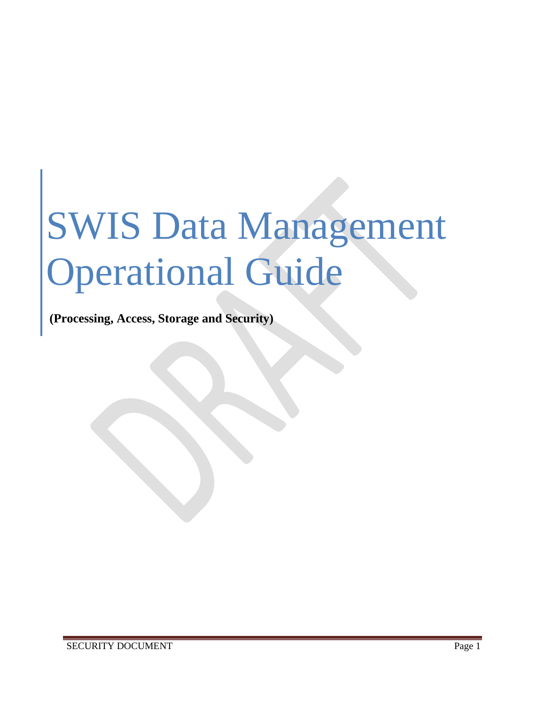# SWIS Data Management Operational Guide

**(Processing, Access, Storage and Security)**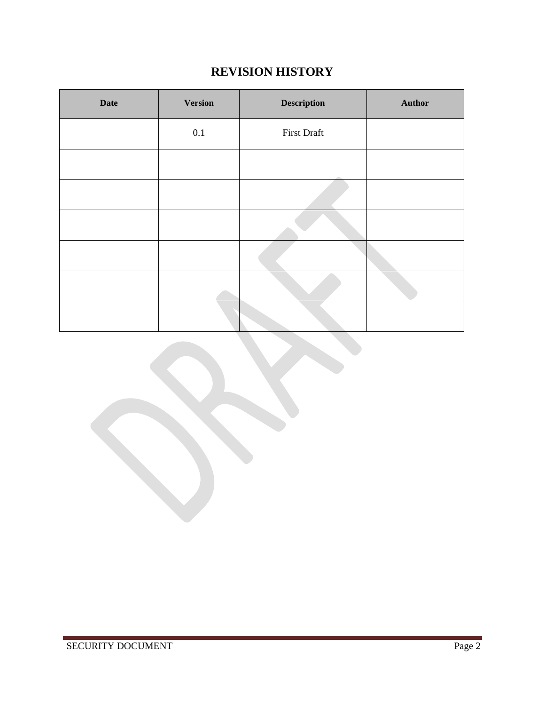# **REVISION HISTORY**

| <b>Date</b> | <b>Version</b> | <b>Description</b> | Author |
|-------------|----------------|--------------------|--------|
|             | $0.1\,$        | <b>First Draft</b> |        |
|             |                |                    |        |
|             |                |                    |        |
|             |                |                    |        |
|             |                |                    |        |
|             |                |                    |        |
|             |                |                    |        |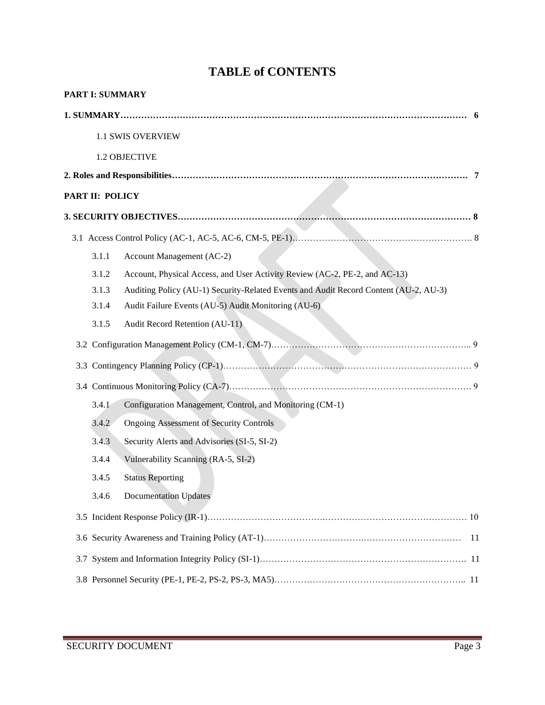# **TABLE of CONTENTS**

|     | <b>PART I: SUMMARY</b> |                                                                                      |
|-----|------------------------|--------------------------------------------------------------------------------------|
|     |                        |                                                                                      |
|     |                        | <b>1.1 SWIS OVERVIEW</b>                                                             |
|     |                        | 1.2 OBJECTIVE                                                                        |
|     |                        | -7                                                                                   |
|     | <b>PART II: POLICY</b> |                                                                                      |
|     |                        |                                                                                      |
|     |                        |                                                                                      |
|     | 3.1.1                  | Account Management (AC-2)                                                            |
|     | 3.1.2                  | Account, Physical Access, and User Activity Review (AC-2, PE-2, and AC-13)           |
|     | 3.1.3                  | Auditing Policy (AU-1) Security-Related Events and Audit Record Content (AU-2, AU-3) |
|     | 3.1.4                  | Audit Failure Events (AU-5) Audit Monitoring (AU-6)                                  |
|     | 3.1.5                  | Audit Record Retention (AU-11)                                                       |
|     |                        |                                                                                      |
| 3.3 |                        |                                                                                      |
|     |                        |                                                                                      |
|     | 3.4.1                  | Configuration Management, Control, and Monitoring (CM-1)                             |
|     | 3.4.2                  | <b>Ongoing Assessment of Security Controls</b>                                       |
|     | 3.4.3                  | Security Alerts and Advisories (SI-5, SI-2)                                          |
|     | 3.4.4                  | Vulnerability Scanning (RA-5, SI-2)                                                  |
|     | 3.4.5                  | <b>Status Reporting</b>                                                              |
|     | 3.4.6                  | <b>Documentation Updates</b>                                                         |
|     |                        |                                                                                      |
|     |                        | - 11                                                                                 |
| 3.7 |                        |                                                                                      |
|     |                        |                                                                                      |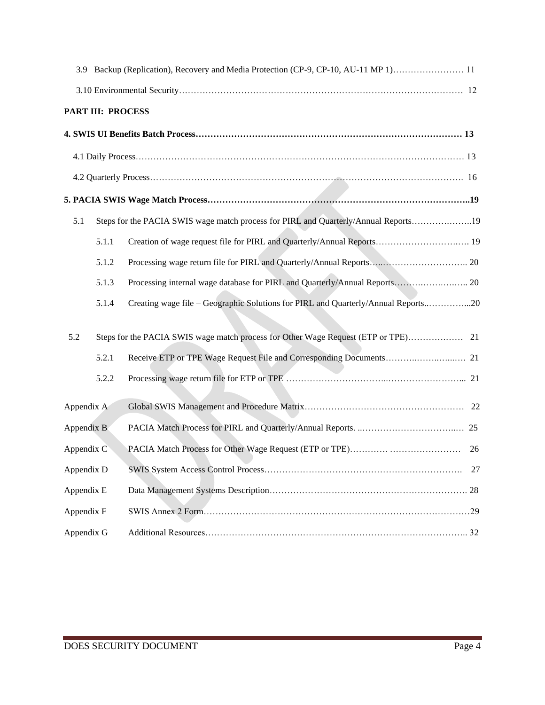| 3.9        |                                                                               |                                                                                     |    |  |
|------------|-------------------------------------------------------------------------------|-------------------------------------------------------------------------------------|----|--|
|            |                                                                               |                                                                                     |    |  |
|            | <b>PART III: PROCESS</b>                                                      |                                                                                     |    |  |
|            |                                                                               |                                                                                     |    |  |
|            |                                                                               |                                                                                     |    |  |
|            |                                                                               |                                                                                     |    |  |
|            |                                                                               |                                                                                     |    |  |
| 5.1        |                                                                               | Steps for the PACIA SWIS wage match process for PIRL and Quarterly/Annual Reports19 |    |  |
|            | 5.1.1                                                                         |                                                                                     |    |  |
|            | Processing wage return file for PIRL and Quarterly/Annual Reports 20<br>5.1.2 |                                                                                     |    |  |
|            | 5.1.3                                                                         |                                                                                     |    |  |
|            | 5.1.4                                                                         | Creating wage file – Geographic Solutions for PIRL and Quarterly/Annual Reports20   |    |  |
| 5.2        |                                                                               |                                                                                     |    |  |
|            |                                                                               |                                                                                     |    |  |
|            | 5.2.1                                                                         |                                                                                     |    |  |
|            | 5.2.2                                                                         |                                                                                     |    |  |
| Appendix A |                                                                               |                                                                                     |    |  |
| Appendix B |                                                                               |                                                                                     |    |  |
| Appendix C |                                                                               |                                                                                     | 26 |  |
| Appendix D |                                                                               |                                                                                     | 27 |  |
| Appendix E |                                                                               |                                                                                     |    |  |
| Appendix F |                                                                               |                                                                                     |    |  |
| Appendix G |                                                                               |                                                                                     |    |  |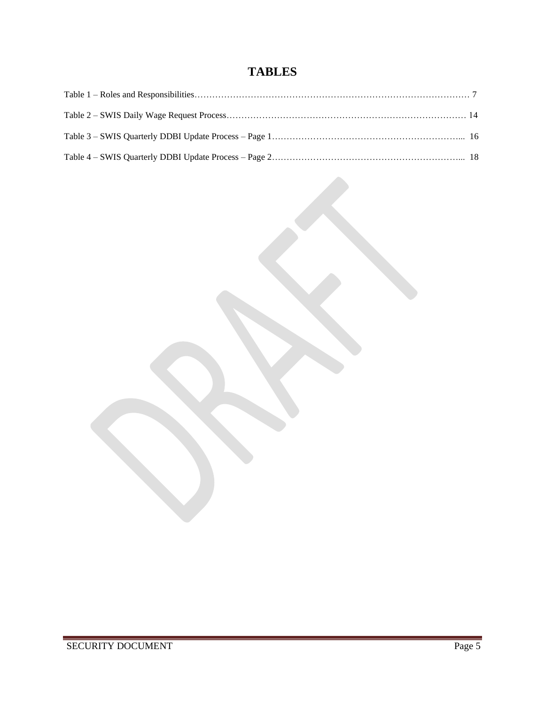# **TABLES**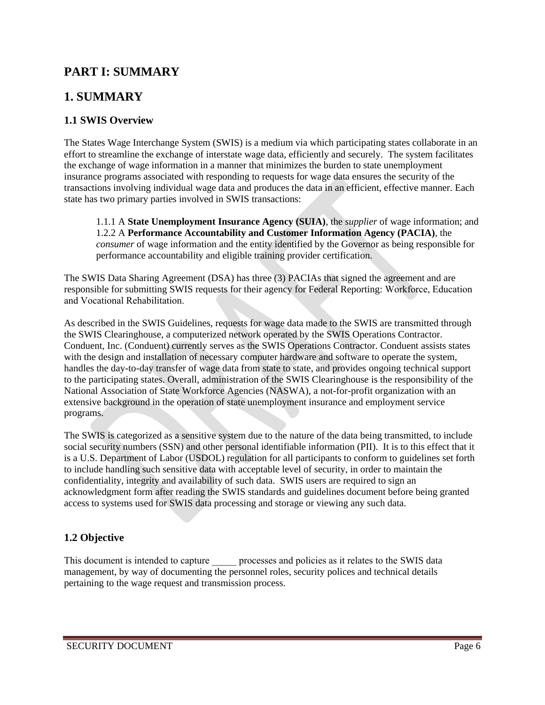## **PART I: SUMMARY**

## **1. SUMMARY**

## **1.1 SWIS Overview**

The States Wage Interchange System (SWIS) is a medium via which participating states collaborate in an effort to streamline the exchange of interstate wage data, efficiently and securely. The system facilitates the exchange of wage information in a manner that minimizes the burden to state unemployment insurance programs associated with responding to requests for wage data ensures the security of the transactions involving individual wage data and produces the data in an efficient, effective manner. Each state has two primary parties involved in SWIS transactions:

1.1.1 A **State Unemployment Insurance Agency (SUIA)**, the *supplier* of wage information; and 1.2.2 A **Performance Accountability and Customer Information Agency (PACIA)**, the *consumer* of wage information and the entity identified by the Governor as being responsible for performance accountability and eligible training provider certification.

The SWIS Data Sharing Agreement (DSA) has three (3) PACIAs that signed the agreement and are responsible for submitting SWIS requests for their agency for Federal Reporting: Workforce, Education and Vocational Rehabilitation.

As described in the SWIS Guidelines, requests for wage data made to the SWIS are transmitted through the SWIS Clearinghouse, a computerized network operated by the SWIS Operations Contractor. Conduent, Inc. (Conduent) currently serves as the SWIS Operations Contractor. Conduent assists states with the design and installation of necessary computer hardware and software to operate the system, handles the day-to-day transfer of wage data from state to state, and provides ongoing technical support to the participating states. Overall, administration of the SWIS Clearinghouse is the responsibility of the National Association of State Workforce Agencies (NASWA), a not-for-profit organization with an extensive background in the operation of state unemployment insurance and employment service programs.

The SWIS is categorized as a sensitive system due to the nature of the data being transmitted, to include social security numbers (SSN) and other personal identifiable information (PII). It is to this effect that it is a U.S. Department of Labor (USDOL) regulation for all participants to conform to guidelines set forth to include handling such sensitive data with acceptable level of security, in order to maintain the confidentiality, integrity and availability of such data. SWIS users are required to sign an acknowledgment form after reading the SWIS standards and guidelines document before being granted access to systems used for SWIS data processing and storage or viewing any such data.

## **1.2 Objective**

This document is intended to capture \_\_\_\_\_ processes and policies as it relates to the SWIS data management, by way of documenting the personnel roles, security polices and technical details pertaining to the wage request and transmission process.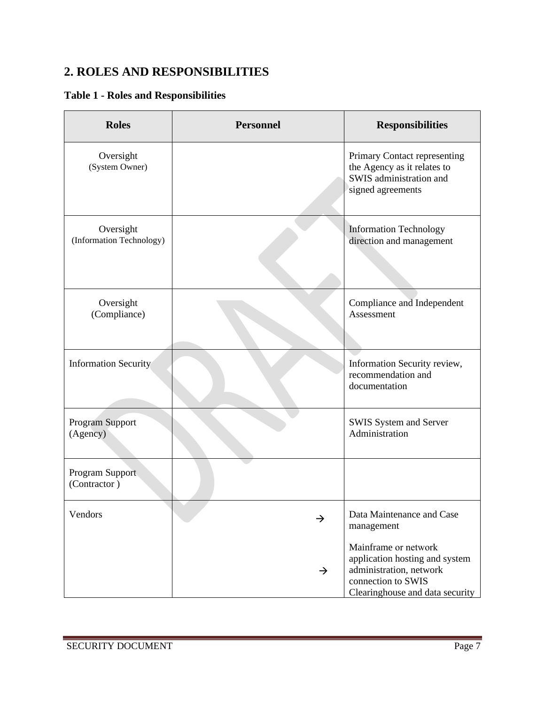# **2. ROLES AND RESPONSIBILITIES**

| <b>Table 1 - Roles and Responsibilities</b> |
|---------------------------------------------|
|---------------------------------------------|

| <b>Roles</b>                          | <b>Personnel</b> | <b>Responsibilities</b>                                                                                                                    |
|---------------------------------------|------------------|--------------------------------------------------------------------------------------------------------------------------------------------|
| Oversight<br>(System Owner)           |                  | Primary Contact representing<br>the Agency as it relates to<br>SWIS administration and<br>signed agreements                                |
| Oversight<br>(Information Technology) |                  | <b>Information Technology</b><br>direction and management                                                                                  |
| Oversight<br>(Compliance)             |                  | Compliance and Independent<br>Assessment                                                                                                   |
| <b>Information Security</b>           |                  | Information Security review,<br>recommendation and<br>documentation                                                                        |
| Program Support<br>(Agency)           |                  | SWIS System and Server<br>Administration                                                                                                   |
| Program Support<br>(Contractor)       |                  |                                                                                                                                            |
| Vendors                               | $\rightarrow$    | Data Maintenance and Case<br>management                                                                                                    |
|                                       | $\rightarrow$    | Mainframe or network<br>application hosting and system<br>administration, network<br>connection to SWIS<br>Clearinghouse and data security |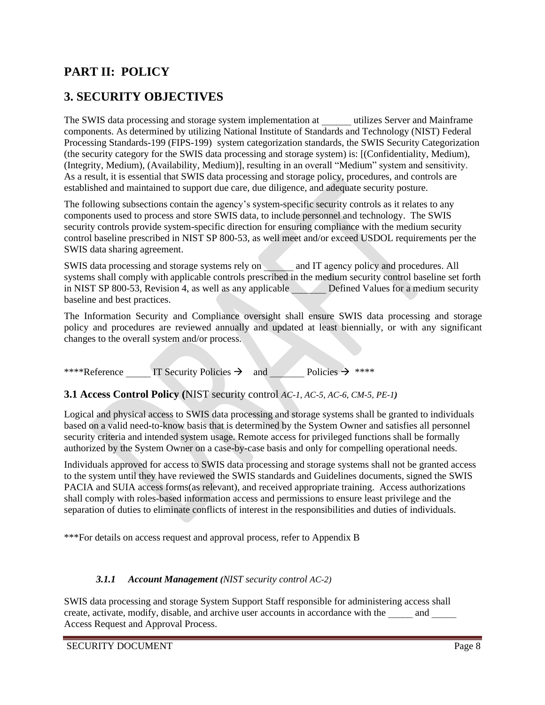## **PART II: POLICY**

# **3. SECURITY OBJECTIVES**

The SWIS data processing and storage system implementation at The SWIS data processing and storage system implementation at components. As determined by utilizing National Institute of Standards and Technology (NIST) Federal Processing Standards-199 (FIPS-199) system categorization standards, the SWIS Security Categorization (the security category for the SWIS data processing and storage system) is: [(Confidentiality, Medium), (Integrity, Medium), (Availability, Medium)], resulting in an overall "Medium" system and sensitivity. As a result, it is essential that SWIS data processing and storage policy, procedures, and controls are established and maintained to support due care, due diligence, and adequate security posture.

The following subsections contain the agency's system-specific security controls as it relates to any components used to process and store SWIS data, to include personnel and technology. The SWIS security controls provide system-specific direction for ensuring compliance with the medium security control baseline prescribed in NIST SP 800-53, as well meet and/or exceed USDOL requirements per the SWIS data sharing agreement.

SWIS data processing and storage systems rely on and IT agency policy and procedures. All systems shall comply with applicable controls prescribed in the medium security control baseline set forth in NIST SP 800-53, Revision 4, as well as any applicable **Defined Values for a medium security** baseline and best practices.

The Information Security and Compliance oversight shall ensure SWIS data processing and storage policy and procedures are reviewed annually and updated at least biennially, or with any significant changes to the overall system and/or process.

\*\*\*\*Reference IT Security Policies  $\rightarrow$  and Policies  $\rightarrow$  \*\*\*\*

**3.1 [Access Cont](http://webappsdev.does.dc.gov/doesintranet/policies-and-procedures)rol Policy (**NIST security control *[AC-1, AC-5, AC-6, CM-5, PE-1](https://octo.in.dc.gov/service/octo-policies))*

Logical and physical access to SWIS data processing and storage systems shall be granted to individuals based on a valid need-to-know basis that is determined by the System Owner and satisfies all personnel security criteria and intended system usage. Remote access for privileged functions shall be formally authorized by the System Owner on a case-by-case basis and only for compelling operational needs.

Individuals approved for access to SWIS data processing and storage systems shall not be granted access to the system until they have reviewed the SWIS standards and Guidelines documents, signed the SWIS PACIA and SUIA access forms(as relevant), and received appropriate training. Access authorizations shall comply with roles-based information access and permissions to ensure least privilege and the separation of duties to eliminate conflicts of interest in the responsibilities and duties of individuals.

\*\*\*For details on access request and approval process, refer to Appendix B

#### *3.1.1 Account Management (NIST security control AC-2)*

SWIS data processing and storage System Support Staff responsible for administering access shall create, activate, modify, disable, and archive user accounts in accordance with the and Access Request and Approval Process.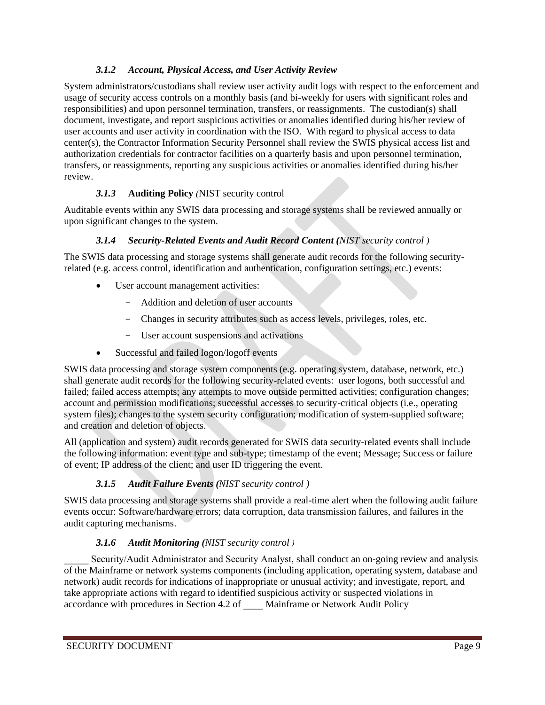## *3.1.2 Account, Physical Access, and User Activity Review*

System administrators/custodians shall review user activity audit logs with respect to the enforcement and usage of security access controls on a monthly basis (and bi-weekly for users with significant roles and responsibilities) and upon personnel termination, transfers, or reassignments. The custodian(s) shall document, investigate, and report suspicious activities or anomalies identified during his/her review of user accounts and user activity in coordination with the ISO. With regard to physical access to data center(s), the Contractor Information Security Personnel shall review the SWIS physical access list and authorization credentials for contractor facilities on a quarterly basis and upon personnel termination, transfers, or reassignments, reporting any suspicious activities or anomalies identified during his/her review.

### *3.1.3* **Auditing Policy** *(*NIST security control

Auditable events within any SWIS data processing and storage systems shall be reviewed annually or upon significant changes to the system.

#### *3.1.4 Security-Related Events and Audit Record Content (NIST security control )*

The SWIS data processing and storage systems shall generate audit records for the following securityrelated (e.g. access control, identification and authentication, configuration settings, etc.) events:

- User account management activities:
	- Addition and deletion of user accounts
	- Changes in security attributes such as access levels, privileges, roles, etc.
	- User account suspensions and activations
- Successful and failed logon/logoff events

SWIS data processing and storage system components (e.g. operating system, database, network, etc.) shall generate audit records for the following security-related events: user logons, both successful and failed; failed access attempts; any attempts to move outside permitted activities; configuration changes; account and permission modifications; successful accesses to security-critical objects (i.e., operating system files); changes to the system security configuration; modification of system-supplied software; and creation and deletion of objects.

All (application and system) audit records generated for SWIS data security-related events shall include the following information: event type and sub-type; timestamp of the event; Message; Success or failure of event; IP address of the client; and user ID triggering the event.

## *3.1.5 Audit Failure Events (NIST security control )*

SWIS data processing and storage systems shall provide a real-time alert when the following audit failure events occur: Software/hardware errors; data corruption, data transmission failures, and failures in the audit capturing mechanisms.

#### *3.1.6 Audit Monitoring (NIST security control )*

Security/Audit Administrator and Security Analyst, shall conduct an on-going review and analysis of the Mainframe or network systems components (including application, operating system, database and network) audit records for indications of inappropriate or unusual activity; and investigate, report, and take appropriate actions with regard to identified suspicious activity or suspected violations in accordance with procedures in Section 4.2 of \_\_\_\_ Mainframe or Network Audit Policy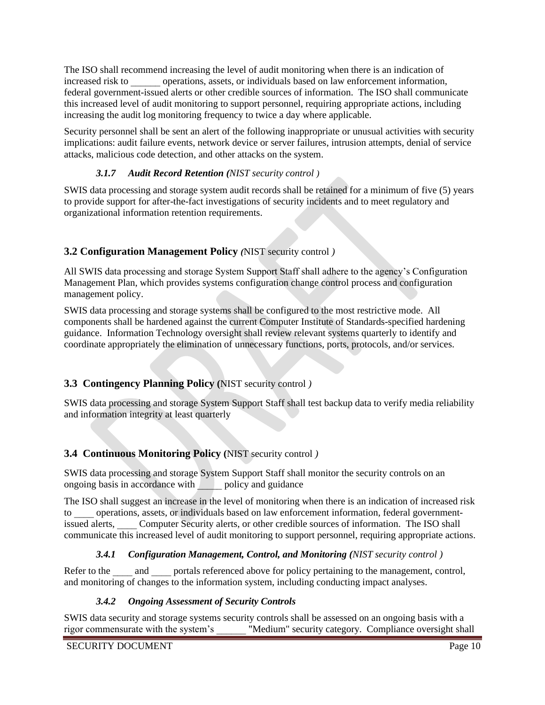The ISO shall recommend increasing the level of audit monitoring when there is an indication of increased risk to operations, assets, or individuals based on law enforcement information, federal government-issued alerts or other credible sources of information. The ISO shall communicate this increased level of audit monitoring to support personnel, requiring appropriate actions, including increasing the audit log monitoring frequency to twice a day where applicable.

Security personnel shall be sent an alert of the following inappropriate or unusual activities with security implications: audit failure events, network device or server failures, intrusion attempts, denial of service attacks, malicious code detection, and other attacks on the system.

## *3.1.7 Audit Record Retention (NIST security control )*

SWIS data processing and storage system audit records shall be retained for a minimum of five (5) years to provide support for after-the-fact investigations of security incidents and to meet regulatory and organizational information retention requirements.

## **3.2 Configuration Management Policy** *(*NIST security control *)*

All SWIS data processing and storage System Support Staff shall adhere to the agency's Configuration Management Plan, which provides systems configuration change control process and configuration management policy.

SWIS data processing and storage systems shall be configured to the most restrictive mode. All components shall be hardened against the current Computer Institute of Standards-specified hardening guidance. Information Technology oversight shall review relevant systems quarterly to identify and coordinate appropriately the elimination of unnecessary functions, ports, protocols, and/or services.

## **3.3 Contingency Planning Policy (**NIST security control *)*

SWIS data processing and storage System Support Staff shall test backup data to verify media reliability and information integrity at least quarterly

## **3.4 Continuous Monitoring Policy (**NIST security control *)*

SWIS data processing and storage System Support Staff shall monitor the security controls on an ongoing basis in accordance with policy and guidance

The ISO shall suggest an increase in the level of monitoring when there is an indication of increased risk to \_\_\_\_ operations, assets, or individuals based on law enforcement information, federal governmentissued alerts, Computer Security alerts, or other credible sources of information. The ISO shall communicate this increased level of audit monitoring to support personnel, requiring appropriate actions.

## *3.4.1 Configuration Management, Control, and Monitoring (NIST security control )*

Refer to the and portals referenced above for policy pertaining to the management, control, and monitoring of changes to the information system, including conducting impact analyses.

## *3.4.2 Ongoing Assessment of Security Controls*

SWIS data security and storage systems security controls shall be assessed on an ongoing basis with a rigor commensurate with the system's will define the system's compliance oversight shall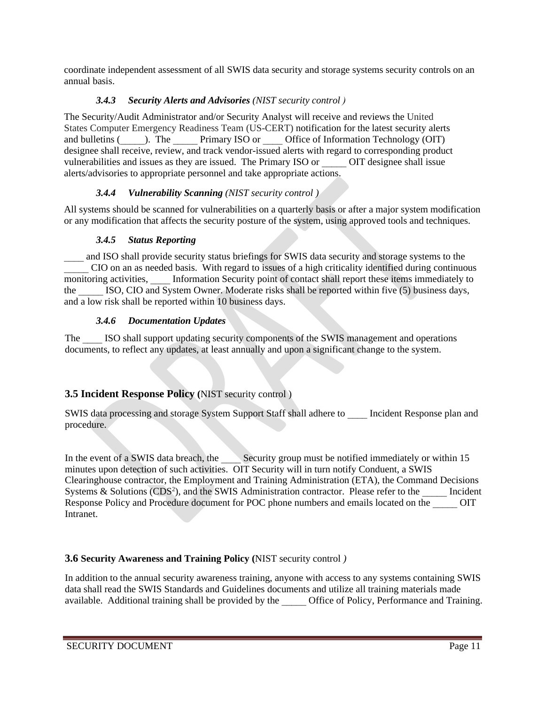coordinate independent assessment of all SWIS data security and storage systems security controls on an annual basis.

## *3.4.3 Security Alerts and Advisories (NIST security control )*

The Security/Audit Administrator and/or Security Analyst will receive and reviews the United States Computer Emergency Readiness Team (US-CERT) notification for the latest security alerts and bulletins (  $\qquad$  ). The Primary ISO or Office of Information Technology (OIT) designee shall receive, review, and track vendor-issued alerts with regard to corresponding product vulnerabilities and issues as they are issued. The Primary ISO or  $\qquad$  OIT designee shall issue alerts/advisories to appropriate personnel and take appropriate actions.

#### *3.4.4 Vulnerability Scanning (NIST security control )*

All systems should be scanned for vulnerabilities on a quarterly basis or after a major system modification or any modification that affects the security posture of the system, using approved tools and techniques.

### *3.4.5 Status Reporting*

\_\_\_\_ and ISO shall provide security status briefings for SWIS data security and storage systems to the \_\_\_\_\_ CIO on an as needed basis. With regard to issues of a high criticality identified during continuous monitoring activities, **Information Security point of contact shall report these items immediately to** the ISO, CIO and System Owner. Moderate risks shall be reported within five (5) business days, and a low risk shall be reported within 10 business days.

### *3.4.6 Documentation Updates*

The ISO shall support updating security components of the SWIS management and operations documents, to reflect any updates, at least annually and upon a significant change to the system.

## **3.5 Incident Response Policy (**NIST security control )

SWIS data processing and storage System Support Staff shall adhere to \_\_\_\_\_ Incident Response plan and procedure.

In the event of a SWIS data breach, the Security group [must be notified](mailto:does_oit_security@dc.gov) immediately or within 15 minutes upon detection of such activities. OIT Security will in turn notify Conduent, a SWIS Clearinghouse contractor, the Employment and Training Administration (ETA), the Command Decisions Systems & Solutions ( $CDS<sup>2</sup>$ ), and the SWIS Administration contractor. Please refer to the Incident Response Policy and Procedure document for POC phone numbers and emails located on the \_\_\_\_\_ OIT Intranet.

## **3.6 Security Awareness and Training Policy (**NIST security control *)*

In addition to the annual security awareness training, anyone with access to any systems containing SWIS data shall read the SWIS Standards and Guidelines documents and utilize all training materials made available. Additional training shall be provided by the Office of Policy, Performance and Training.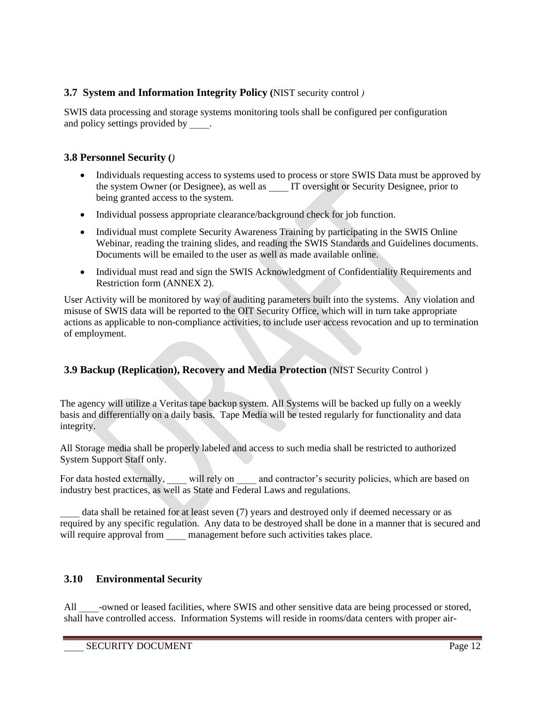## **3.7 System and Information Integrity Policy (**NIST security control *)*

SWIS data processing and storage systems monitoring tools shall be configured per configuration and policy settings provided by  $\qquad$ .

### **3.8 Personnel Security (***)*

- Individuals requesting access to systems used to process or store SWIS Data must be approved by the system Owner (or Designee), as well as  $\qquad$  IT oversight or Security Designee, prior to being granted access to the system*.*
- Individual possess appropriate clearance/background check for job function.
- Individual must complete Security Awareness Training by participating in the SWIS Online Webinar, reading the training slides, and reading the SWIS Standards and Guidelines documents. Documents will be emailed to the user as well as made available online.
- Individual must read and sign the SWIS Acknowledgment of Confidentiality Requirements and Restriction form (ANNEX 2).

User Activity will be monitored by way of auditing parameters built into the systems. Any violation and misuse of SWIS data will be reported to the OIT Security Office, which will in turn take appropriate actions as applicable to non-compliance activities, to include user access revocation and up to termination of employment.

## **3.9 Backup (Replication), Recovery and Media Protection** (NIST Security Control )

The agency will utilize a Veritas tape backup system. All Systems will be backed up fully on a weekly basis and differentially on a daily basis. Tape Media will be tested regularly for functionality and data integrity.

All Storage media shall be properly labeled and access to such media shall be restricted to authorized System Support Staff only.

For data hosted externally, will rely on and contractor's security policies, which are based on industry best practices, as well as State and Federal Laws and regulations.

data shall be retained for at least seven (7) years and destroyed only if deemed necessary or as required by any specific regulation. Any data to be destroyed shall be done in a manner that is secured and will require approval from \_\_\_\_\_ management before such activities takes place.

## **3.10 Environmental Security**

All - owned or leased facilities, where SWIS and other sensitive data are being processed or stored, shall have controlled access. Information Systems will reside in rooms/data centers with proper air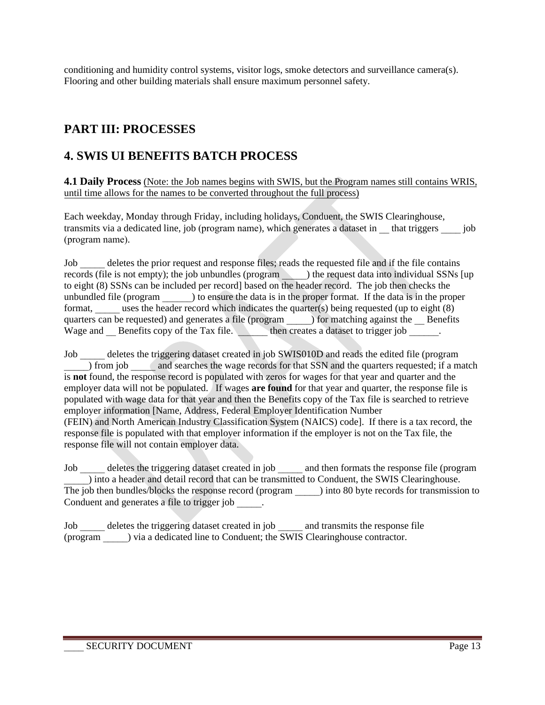conditioning and humidity control systems, visitor logs, smoke detectors and surveillance camera(s). Flooring and other building materials shall ensure maximum personnel safety.

# **PART III: PROCESSES**

## **4. SWIS UI BENEFITS BATCH PROCESS**

**4.1 Daily Process** (Note: the Job names begins with SWIS, but the Program names still contains WRIS, until time allows for the names to be converted throughout the full process)

Each weekday, Monday through Friday, including holidays, Conduent, the SWIS Clearinghouse, transmits via a dedicated line, job (program name), which generates a dataset in that triggers iob (program name).

Job deletes the prior request and response files; reads the requested file and if the file contains records (file is not empty); the job unbundles (program \_\_\_\_\_) the request data into individual SSNs [up to eight (8) SSNs can be included per record] based on the header record. The job then checks the unbundled file (program ) to ensure the data is in the proper format. If the data is in the proper format, uses the header record which indicates the quarter(s) being requested (up to eight  $(8)$ quarters can be requested) and generates a file (program \_\_\_\_) for matching against the \_\_ Benefits Wage and \_\_\_\_\_\_ Benefits copy of the Tax file. \_\_\_\_\_\_\_\_ then creates a dataset to trigger job \_\_\_\_\_\_.

Job deletes the triggering dataset created in job SWIS010D and reads the edited file (program \_\_\_\_\_) from job \_\_\_\_\_ and searches the wage records for that SSN and the quarters requested; if a match is **not** found, the response record is populated with zeros for wages for that year and quarter and the employer data will not be populated. If wages **are found** for that year and quarter, the response file is populated with wage data for that year and then the Benefits copy of the Tax file is searched to retrieve employer information [Name, Address, Federal Employer Identification Number (FEIN) and North American Industry Classification System (NAICS) code]. If there is a tax record, the response file is populated with that employer information if the employer is not on the Tax file, the response file will not contain employer data.

Job deletes the triggering dataset created in job and then formats the response file (program ) into a header and detail record that can be transmitted to Conduent, the SWIS Clearinghouse. The job then bundles/blocks the response record (program ) into 80 byte records for transmission to Conduent and generates a file to trigger job \_\_\_\_\_.

Job deletes the triggering dataset created in job and transmits the response file (program \_\_\_\_\_) via a dedicated line to Conduent; the SWIS Clearinghouse contractor.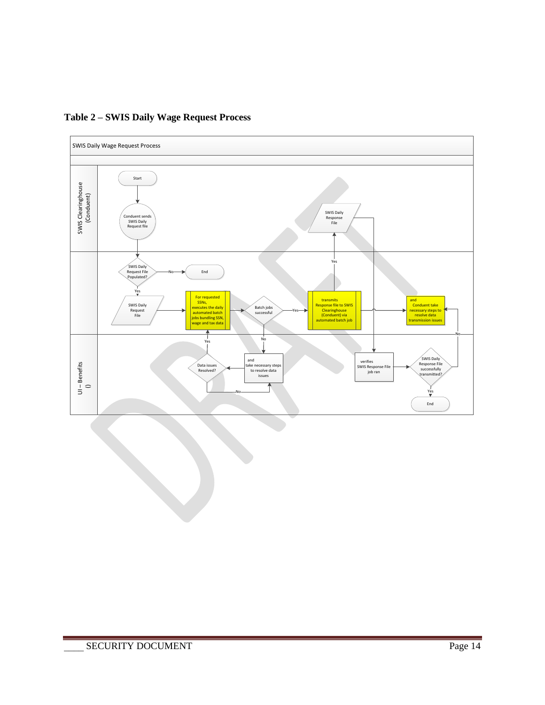

### **Table 2 – SWIS Daily Wage Request Process**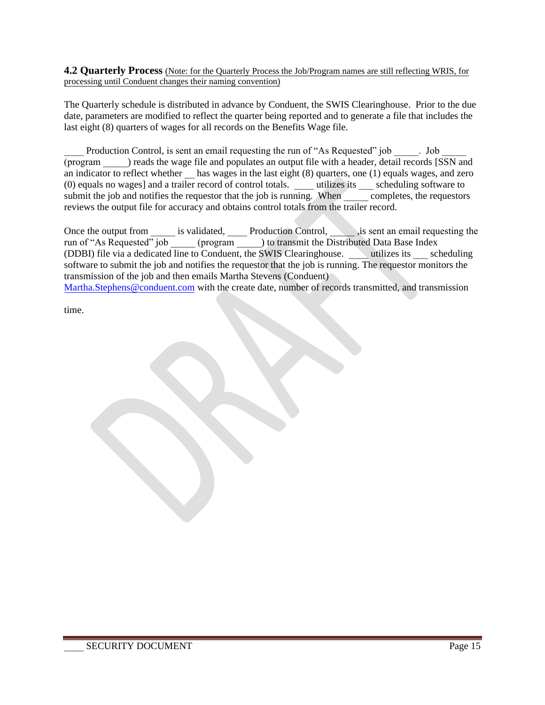#### **4.2 Quarterly Process** (Note: for the Quarterly Process the Job/Program names are still reflecting WRIS, for processing until Conduent changes their naming convention)

The Quarterly schedule is distributed in advance by Conduent, the SWIS Clearinghouse. Prior to the due date, parameters are modified to reflect the quarter being reported and to generate a file that includes the last eight (8) quarters of wages for all records on the Benefits Wage file.

Production Control, i[s sent an email requesting t](mailto:Product.Control@dc.gov)he run of "As Requested" job \_\_\_\_. Job (program \_\_\_\_\_) reads the wage file and populates an output file with a header, detail records [SSN and an indicator to reflect whether has wages in the last eight (8) quarters, one (1) equals wages, and zero (0) equals no wages] and a trailer record of control totals. \_\_\_\_ utilizes its \_\_\_ scheduling software to submit the job and notifies the requestor that the job is running. When completes, the requestors reviews the output file for accuracy and obtains control totals from the trailer record.

Once the output from \_\_\_\_\_\_ is validated, Production Control, \_\_\_\_\_\_\_, is sent an email requesting the run of "As Requested" job (program ) to transmit the Distrib[uted Data Base Index](mailto:Product.Control@dc.gov) (DDBI) file via a dedicated line to Conduent, the SWIS Clearinghouse. \_\_\_\_ utilizes its \_\_\_ scheduling software to submit the job and notifies the requestor that the job is running. The requestor monitors the transmission of the job and then emails Martha Stevens (Conduent) Martha.Stephens@conduent.com with the create date, number of records transmitted, and transmission

time.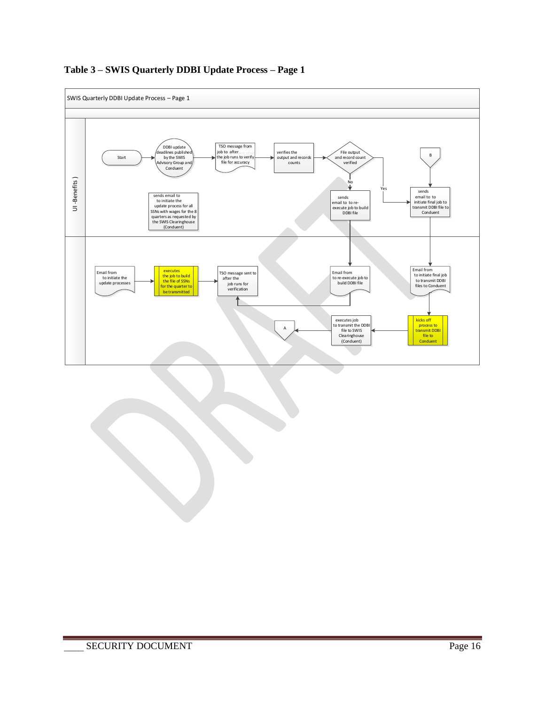

## **Table 3 – SWIS Quarterly DDBI Update Process – Page 1**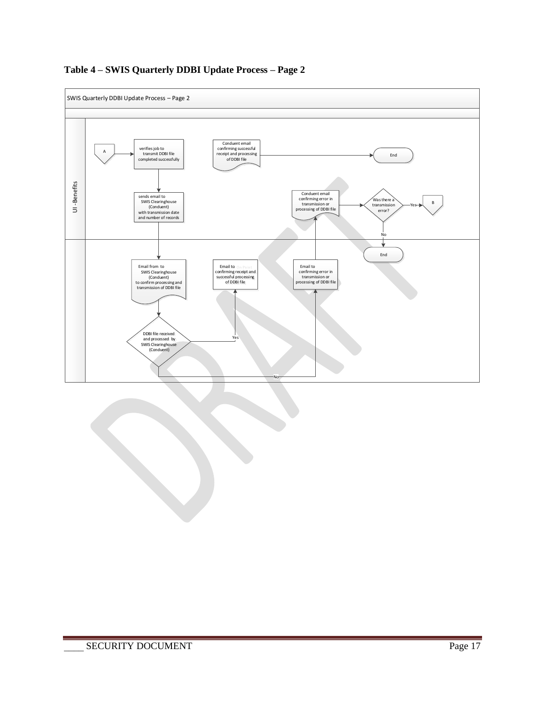

## **Table 4 – SWIS Quarterly DDBI Update Process – Page 2**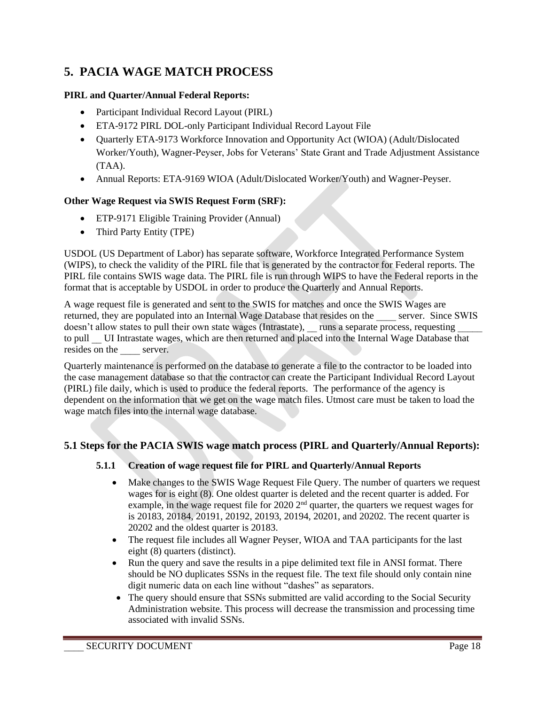# **5. PACIA WAGE MATCH PROCESS**

#### **PIRL and Quarter/Annual Federal Reports:**

- Participant Individual Record Layout (PIRL)
- ETA-9172 PIRL DOL-only Participant Individual Record Layout File
- Quarterly ETA-9173 Workforce Innovation and Opportunity Act (WIOA) (Adult/Dislocated Worker/Youth), Wagner-Peyser, Jobs for Veterans' State Grant and Trade Adjustment Assistance (TAA).
- Annual Reports: ETA-9169 WIOA (Adult/Dislocated Worker/Youth) and Wagner-Peyser.

## **Other Wage Request via SWIS Request Form (SRF):**

- ETP-9171 Eligible Training Provider (Annual)
- Third Party Entity (TPE)

USDOL (US Department of Labor) has separate software, Workforce Integrated Performance System (WIPS), to check the validity of the PIRL file that is generated by the contractor for Federal reports. The PIRL file contains SWIS wage data. The PIRL file is run through WIPS to have the Federal reports in the format that is acceptable by USDOL in order to produce the Quarterly and Annual Reports.

A wage request file is generated and sent to the SWIS for matches and once the SWIS Wages are returned, they are populated into an Internal Wage Database that resides on the server. Since SWIS doesn't allow states to pull their own state wages (Intrastate), \_\_ runs a separate process, requesting \_\_\_\_\_ to pull UI Intrastate wages, which are then returned and placed into the Internal Wage Database that resides on the server.

Quarterly maintenance is performed on the database to generate a file to the contractor to be loaded into the case management database so that the contractor can create the Participant Individual Record Layout (PIRL) file daily, which is used to produce the federal reports. The performance of the agency is dependent on the information that we get on the wage match files. Utmost care must be taken to load the wage match files into the internal wage database.

## **5.1 Steps for the PACIA SWIS wage match process (PIRL and Quarterly/Annual Reports):**

## **5.1.1 Creation of wage request file for PIRL and Quarterly/Annual Reports**

- Make changes to the SWIS Wage Request File Query. The number of quarters we request wages for is eight (8). One oldest quarter is deleted and the recent quarter is added. For example, in the wage request file for 2020 2<sup>nd</sup> quarter, the quarters we request wages for is 20183, 20184, 20191, 20192, 20193, 20194, 20201, and 20202. The recent quarter is 20202 and the oldest quarter is 20183.
- The request file includes all Wagner Peyser, WIOA and TAA participants for the last eight (8) quarters (distinct).
- Run the query and save the results in a pipe delimited text file in ANSI format. There should be NO duplicates SSNs in the request file. The text file should only contain nine digit numeric data on each line without "dashes" as separators.
- The query should ensure that SSNs submitted are valid according to the Social Security Administration website. This process will decrease the transmission and processing time associated with invalid SSNs.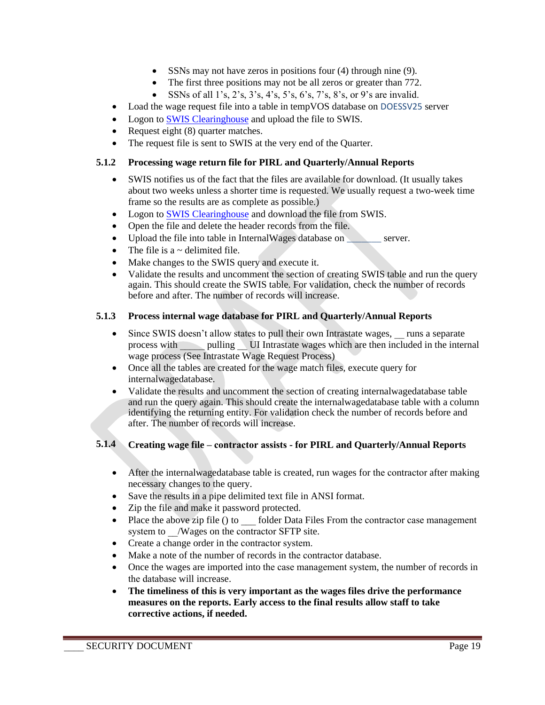- SSNs may not have zeros in positions four (4) through nine (9).
- The first three positions may not be all zeros or greater than 772.
- SSNs of all 1's, 2's, 3's, 4's, 5's, 6's, 7's, 8's, or 9's are invalid.
- Load the wage request file into a table in tempVOS database on DOESSV25 server
- Logon to [SWIS](https://www.wris.org/) Clearinghouse and upload the file to SWIS.
- Request eight (8) quarter matches.
- The request file is sent to SWIS at the very end of the Quarter.

#### **5.1.2 Processing wage return file for PIRL and Quarterly/Annual Reports**

- SWIS notifies us of the fact that the files are available for download. (It usually takes about two weeks unless a shorter time is requested. We usually request a two-week time frame so the results are as complete as possible.)
- Logon to [SWIS](https://www.wris.org/) Clearinghouse and download the file from SWIS.
- Open the file and delete the header records from the file.
- Upload the file into table in InternalWages database on server.
- The file is a  $\sim$  delimited file.
- Make changes to the SWIS query and execute it.
- Validate the results and uncomment the section of creating SWIS table and run the query again. This should create the SWIS table. For validation, check the number of records before and after. The number of records will increase.

#### **5.1.3 Process internal wage database for PIRL and Quarterly/Annual Reports**

- Since SWIS doesn't allow states to pull their own Intrastate wages, runs a separate process with \_\_\_\_\_ pulling \_\_ UI Intrastate wages which are then included in the internal wage process (See Intrastate Wage Request Process)
- Once all the tables are created for the wage match files, execute query for internalwagedatabase.
- Validate the results and uncomment the section of creating internalwagedatabase table and run the query again. This should create the internalwagedatabase table with a column identifying the returning entity. For validation check the number of records before and after. The number of records will increase.

## **5.1.4 Creating wage file – contractor assists - for PIRL and Quarterly/Annual Reports**

- After the internalwagedatabase table is created, run wages for the contractor after making necessary changes to the query.
- Save the results in a pipe delimited text file in ANSI format.
- Zip the file and make it password protected.
- Place the above zip file () to folder Data Files From the contractor case management system to /Wages on the contractor SFTP site.
- Create a change order in the contractor system.
- Make a note of the number of records in the contractor database.
- Once the wages are imported into the case management system, the number of records in the database will increase.
- **The timeliness of this is very important as the wages files drive the performance measures on the reports. Early access to the final results allow staff to take corrective actions, if needed.**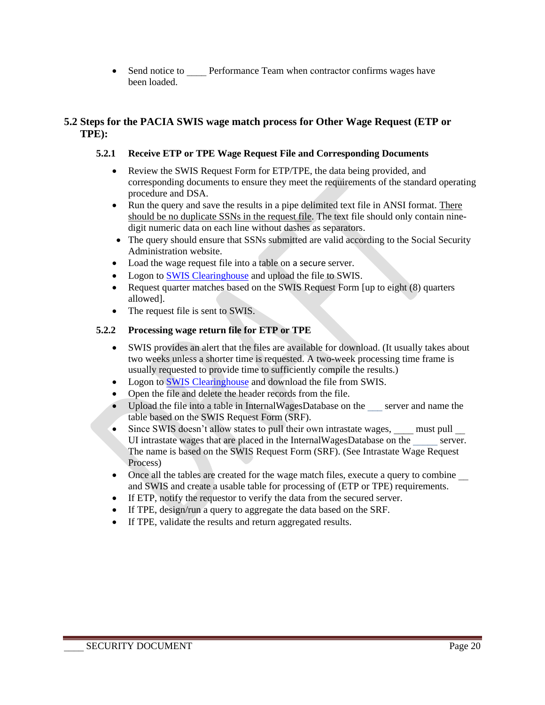• Send notice to Performance Team when contractor confirms wages have been loaded.

## **5.2 Steps for the PACIA SWIS wage match process for Other Wage Request (ETP or TPE):**

### **5.2.1 Receive ETP or TPE Wage Request File and Corresponding Documents**

- Review the SWIS Request Form for ETP/TPE, the data being provided, and corresponding documents to ensure they meet the requirements of the standard operating procedure and DSA.
- Run the query and save the results in a pipe delimited text file in ANSI format. There should be no duplicate SSNs in the request file. The text file should only contain ninedigit numeric data on each line without dashes as separators.
- The query should ensure that SSNs submitted are valid according to the Social Security Administration website.
- Load the wage request file into a table on a secure server.
- Logon to [SWIS](https://www.wris.org/) Clearinghouse and upload the file to SWIS.
- Request quarter matches based on the SWIS Request Form [up to eight (8) quarters allowed].
- The request file is sent to SWIS.

### **5.2.2 Processing wage return file for ETP or TPE**

- SWIS provides an alert that the files are available for download. (It usually takes about two weeks unless a shorter time is requested. A two-week processing time frame is usually requested to provide time to sufficiently compile the results.)
- Logon to [SWIS](https://www.wris.org/) Clearinghouse and download the file from SWIS.
- Open the file and delete the header records from the file.
- Upload the file into a table in InternalWagesDatabase on the server and name the table based on the SWIS Request Form (SRF).
- Since SWIS doesn't allow states to pull their own intrastate wages, must pull UI intrastate wages that are placed in the InternalWagesDatabase on the server. The name is based on the SWIS Request Form (SRF). (See Intrastate Wage Request Process)
- Once all the tables are created for the wage match files, execute a query to combine and SWIS and create a usable table for processing of (ETP or TPE) requirements.
- If ETP, notify the requestor to verify the data from the secured server.
- If TPE, design/run a query to aggregate the data based on the SRF.
- If TPE, validate the results and return aggregated results.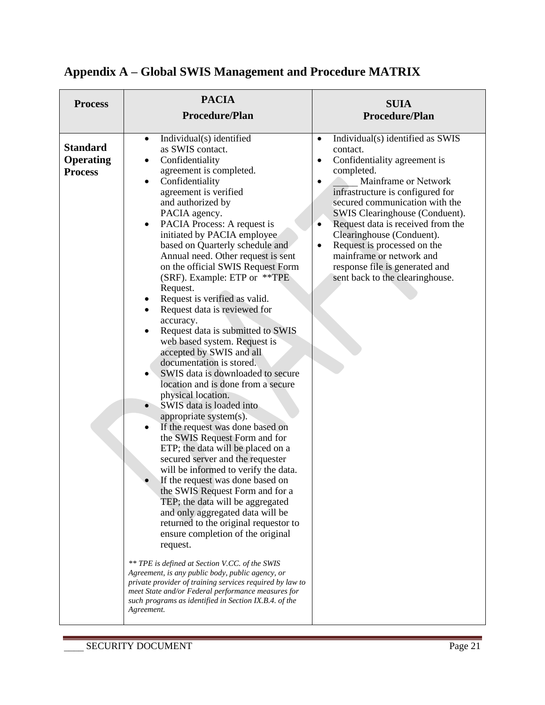|                                                       | <b>PACIA</b>                                                                                                                                                                                                                                                                                                                                                                                                                                                                                                                                                                                                                                                                                                                                                                                                                                                                                                                                                                                                                                                                                                                                                                                                                                                                                                                                                                                                                                                                                                                                                                                         |                                                                                                                                                                                                                                                                                                                                                                                                                                                                                  |
|-------------------------------------------------------|------------------------------------------------------------------------------------------------------------------------------------------------------------------------------------------------------------------------------------------------------------------------------------------------------------------------------------------------------------------------------------------------------------------------------------------------------------------------------------------------------------------------------------------------------------------------------------------------------------------------------------------------------------------------------------------------------------------------------------------------------------------------------------------------------------------------------------------------------------------------------------------------------------------------------------------------------------------------------------------------------------------------------------------------------------------------------------------------------------------------------------------------------------------------------------------------------------------------------------------------------------------------------------------------------------------------------------------------------------------------------------------------------------------------------------------------------------------------------------------------------------------------------------------------------------------------------------------------------|----------------------------------------------------------------------------------------------------------------------------------------------------------------------------------------------------------------------------------------------------------------------------------------------------------------------------------------------------------------------------------------------------------------------------------------------------------------------------------|
| <b>Process</b>                                        | Procedure/Plan                                                                                                                                                                                                                                                                                                                                                                                                                                                                                                                                                                                                                                                                                                                                                                                                                                                                                                                                                                                                                                                                                                                                                                                                                                                                                                                                                                                                                                                                                                                                                                                       | <b>SUIA</b><br><b>Procedure/Plan</b>                                                                                                                                                                                                                                                                                                                                                                                                                                             |
|                                                       |                                                                                                                                                                                                                                                                                                                                                                                                                                                                                                                                                                                                                                                                                                                                                                                                                                                                                                                                                                                                                                                                                                                                                                                                                                                                                                                                                                                                                                                                                                                                                                                                      |                                                                                                                                                                                                                                                                                                                                                                                                                                                                                  |
| <b>Standard</b><br><b>Operating</b><br><b>Process</b> | Individual(s) identified<br>$\bullet$<br>as SWIS contact.<br>Confidentiality<br>$\bullet$<br>agreement is completed.<br>Confidentiality<br>$\bullet$<br>agreement is verified<br>and authorized by<br>PACIA agency.<br>PACIA Process: A request is<br>$\bullet$<br>initiated by PACIA employee<br>based on Quarterly schedule and<br>Annual need. Other request is sent<br>on the official SWIS Request Form<br>(SRF). Example: ETP or **TPE<br>Request.<br>Request is verified as valid.<br>٠<br>Request data is reviewed for<br>$\bullet$<br>accuracy.<br>Request data is submitted to SWIS<br>web based system. Request is<br>accepted by SWIS and all<br>documentation is stored.<br>SWIS data is downloaded to secure<br>location and is done from a secure<br>physical location.<br>SWIS data is loaded into<br>$\bullet$<br>appropriate system(s).<br>If the request was done based on<br>$\bullet$<br>the SWIS Request Form and for<br>ETP; the data will be placed on a<br>secured server and the requester<br>will be informed to verify the data.<br>If the request was done based on<br>the SWIS Request Form and for a<br>TEP; the data will be aggregated<br>and only aggregated data will be<br>returned to the original requestor to<br>ensure completion of the original<br>request.<br>** TPE is defined at Section V.CC. of the SWIS<br>Agreement, is any public body, public agency, or<br>private provider of training services required by law to<br>meet State and/or Federal performance measures for<br>such programs as identified in Section IX.B.4. of the<br>Agreement. | Individual(s) identified as SWIS<br>$\bullet$<br>contact.<br>Confidentiality agreement is<br>$\bullet$<br>completed.<br>Mainframe or Network<br>infrastructure is configured for<br>secured communication with the<br>SWIS Clearinghouse (Conduent).<br>Request data is received from the<br>$\bullet$<br>Clearinghouse (Conduent).<br>Request is processed on the<br>$\bullet$<br>mainframe or network and<br>response file is generated and<br>sent back to the clearinghouse. |

# **Appendix A – Global SWIS Management and Procedure MATRIX**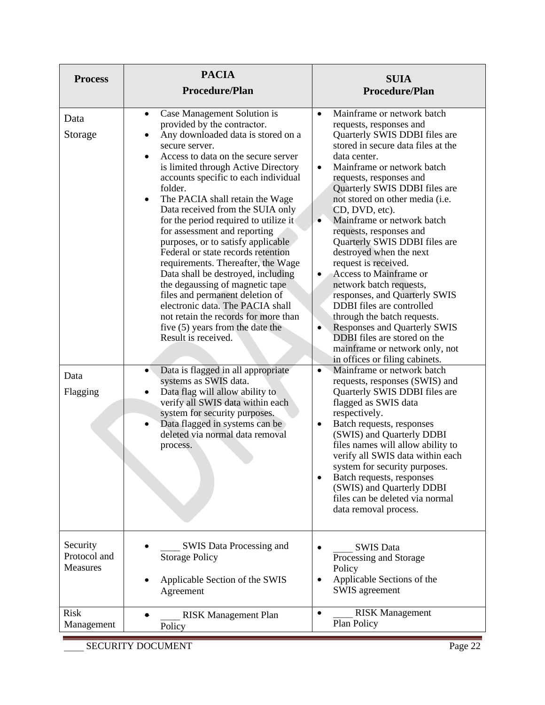| <b>Process</b>                              | <b>PACIA</b><br><b>Procedure/Plan</b>                                                                                                                                                                                                                                                                                                                                                                                                                                                                                                                                                                                                                                                                                                                                                                                                                                                                                                                                                                                                                                                                                         | <b>SUIA</b><br><b>Procedure/Plan</b>                                                                                                                                                                                                                                                                                                                                                                                                                                                                                                                                                                                                                                                                                                                                                                                                                                                                                                                                                                                                                                                                                                                                                                                                                            |
|---------------------------------------------|-------------------------------------------------------------------------------------------------------------------------------------------------------------------------------------------------------------------------------------------------------------------------------------------------------------------------------------------------------------------------------------------------------------------------------------------------------------------------------------------------------------------------------------------------------------------------------------------------------------------------------------------------------------------------------------------------------------------------------------------------------------------------------------------------------------------------------------------------------------------------------------------------------------------------------------------------------------------------------------------------------------------------------------------------------------------------------------------------------------------------------|-----------------------------------------------------------------------------------------------------------------------------------------------------------------------------------------------------------------------------------------------------------------------------------------------------------------------------------------------------------------------------------------------------------------------------------------------------------------------------------------------------------------------------------------------------------------------------------------------------------------------------------------------------------------------------------------------------------------------------------------------------------------------------------------------------------------------------------------------------------------------------------------------------------------------------------------------------------------------------------------------------------------------------------------------------------------------------------------------------------------------------------------------------------------------------------------------------------------------------------------------------------------|
| Data<br>Storage<br>Data<br>Flagging         | Case Management Solution is<br>$\bullet$<br>provided by the contractor.<br>Any downloaded data is stored on a<br>$\bullet$<br>secure server.<br>Access to data on the secure server<br>$\bullet$<br>is limited through Active Directory<br>accounts specific to each individual<br>folder.<br>The PACIA shall retain the Wage<br>$\bullet$<br>Data received from the SUIA only<br>for the period required to utilize it<br>for assessment and reporting<br>purposes, or to satisfy applicable<br>Federal or state records retention<br>requirements. Thereafter, the Wage<br>Data shall be destroyed, including<br>the degaussing of magnetic tape<br>files and permanent deletion of<br>electronic data. The PACIA shall<br>not retain the records for more than<br>five $(5)$ years from the date the<br>Result is received.<br>Data is flagged in all appropriate<br>$\bullet$<br>systems as SWIS data.<br>Data flag will allow ability to<br>$\bullet$<br>verify all SWIS data within each<br>system for security purposes.<br>Data flagged in systems can be<br>$\bullet$<br>deleted via normal data removal<br>process. | Mainframe or network batch<br>$\bullet$<br>requests, responses and<br>Quarterly SWIS DDBI files are<br>stored in secure data files at the<br>data center.<br>Mainframe or network batch<br>$\bullet$<br>requests, responses and<br>Quarterly SWIS DDBI files are<br>not stored on other media (i.e.<br>CD, DVD, etc).<br>Mainframe or network batch<br>$\bullet$<br>requests, responses and<br>Quarterly SWIS DDBI files are<br>destroyed when the next<br>request is received.<br>Access to Mainframe or<br>$\bullet$<br>network batch requests,<br>responses, and Quarterly SWIS<br><b>DDBI</b> files are controlled<br>through the batch requests.<br><b>Responses and Quarterly SWIS</b><br>$\bullet$<br>DDBI files are stored on the<br>mainframe or network only, not<br>in offices or filing cabinets.<br>Mainframe or network batch<br>$\bullet$<br>requests, responses (SWIS) and<br>Quarterly SWIS DDBI files are<br>flagged as SWIS data<br>respectively.<br>Batch requests, responses<br>$\bullet$<br>(SWIS) and Quarterly DDBI<br>files names will allow ability to<br>verify all SWIS data within each<br>system for security purposes.<br>Batch requests, responses<br>$\bullet$<br>(SWIS) and Quarterly DDBI<br>files can be deleted via normal |
| Security<br>Protocol and<br><b>Measures</b> | SWIS Data Processing and<br><b>Storage Policy</b><br>Applicable Section of the SWIS                                                                                                                                                                                                                                                                                                                                                                                                                                                                                                                                                                                                                                                                                                                                                                                                                                                                                                                                                                                                                                           | data removal process.<br><b>SWIS Data</b><br>Processing and Storage<br>Policy<br>Applicable Sections of the                                                                                                                                                                                                                                                                                                                                                                                                                                                                                                                                                                                                                                                                                                                                                                                                                                                                                                                                                                                                                                                                                                                                                     |
| <b>Risk</b><br>Management                   | Agreement<br><b>RISK Management Plan</b><br>Policy                                                                                                                                                                                                                                                                                                                                                                                                                                                                                                                                                                                                                                                                                                                                                                                                                                                                                                                                                                                                                                                                            | SWIS agreement<br><b>RISK Management</b><br>$\bullet$<br>Plan Policy                                                                                                                                                                                                                                                                                                                                                                                                                                                                                                                                                                                                                                                                                                                                                                                                                                                                                                                                                                                                                                                                                                                                                                                            |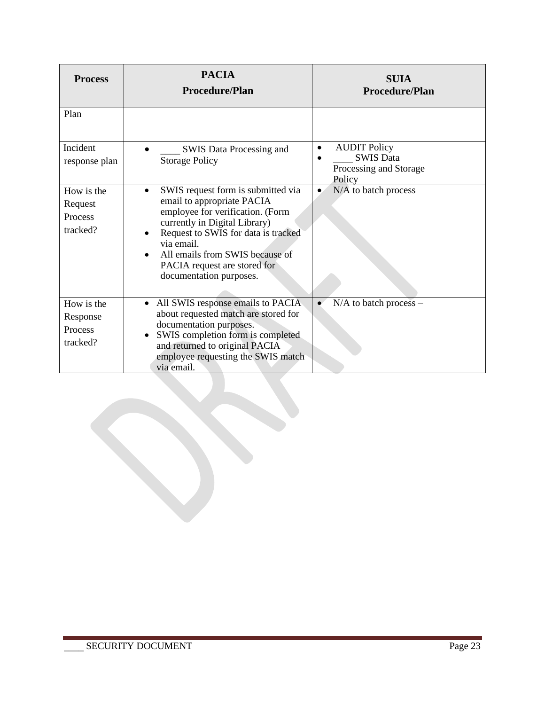| <b>Process</b>                                | <b>PACIA</b><br>Procedure/Plan                                                                                                                                                                                                                                                                        | <b>SUIA</b><br><b>Procedure/Plan</b>                                                     |
|-----------------------------------------------|-------------------------------------------------------------------------------------------------------------------------------------------------------------------------------------------------------------------------------------------------------------------------------------------------------|------------------------------------------------------------------------------------------|
| Plan                                          |                                                                                                                                                                                                                                                                                                       |                                                                                          |
| Incident<br>response plan                     | <b>SWIS Data Processing and</b><br><b>Storage Policy</b>                                                                                                                                                                                                                                              | <b>AUDIT Policy</b><br>$\bullet$<br><b>SWIS Data</b><br>Processing and Storage<br>Policy |
| How is the<br>Request<br>Process<br>tracked?  | SWIS request form is submitted via<br>$\bullet$<br>email to appropriate PACIA<br>employee for verification. (Form<br>currently in Digital Library)<br>Request to SWIS for data is tracked<br>via email.<br>All emails from SWIS because of<br>PACIA request are stored for<br>documentation purposes. | N/A to batch process<br>$\bullet$                                                        |
| How is the<br>Response<br>Process<br>tracked? | All SWIS response emails to PACIA<br>$\bullet$<br>about requested match are stored for<br>documentation purposes.<br>SWIS completion form is completed<br>and returned to original PACIA<br>employee requesting the SWIS match<br>via email.                                                          | N/A to batch process -                                                                   |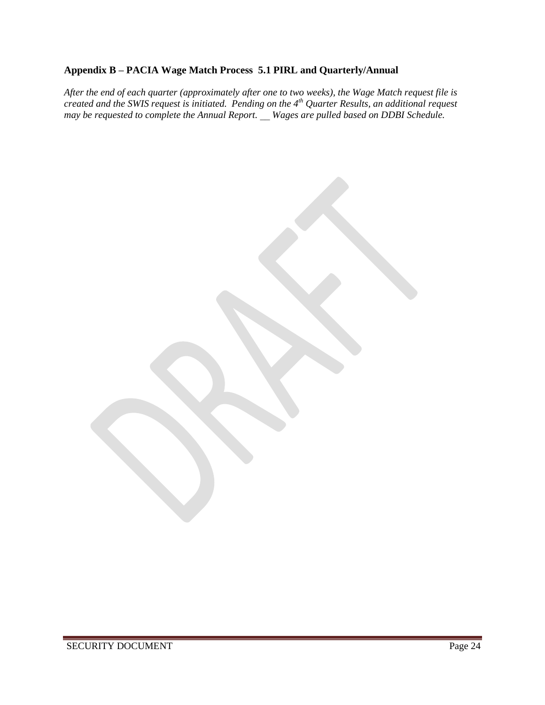## **Appendix B – PACIA Wage Match Process 5.1 PIRL and Quarterly/Annual**

*After the end of each quarter (approximately after one to two weeks), the Wage Match request file is created and the SWIS request is initiated. Pending on the 4th Quarter Results, an additional request may be requested to complete the Annual Report. \_\_ Wages are pulled based on DDBI Schedule.*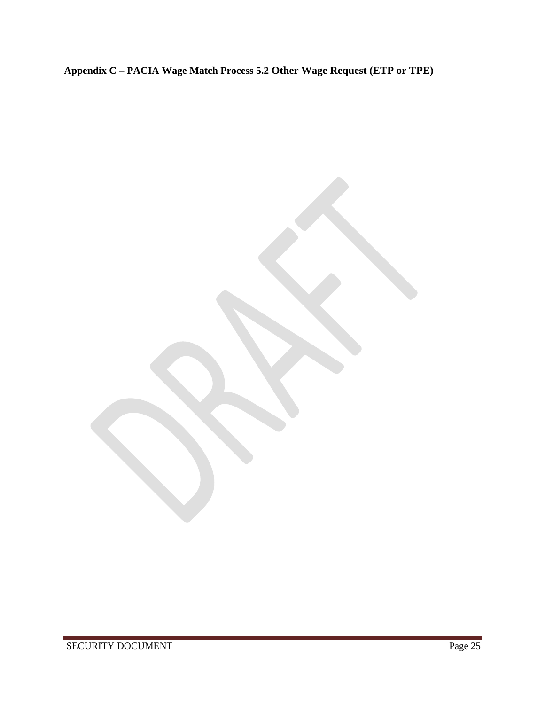**Appendix C – PACIA Wage Match Process 5.2 Other Wage Request (ETP or TPE)**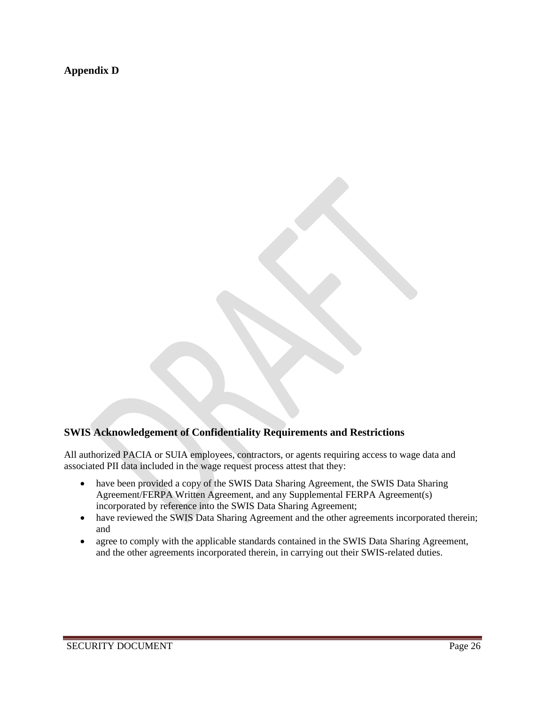**Appendix D**

## **SWIS Acknowledgement of Confidentiality Requirements and Restrictions**

All authorized PACIA or SUIA employees, contractors, or agents requiring access to wage data and associated PII data included in the wage request process attest that they:

- have been provided a copy of the SWIS Data Sharing Agreement, the SWIS Data Sharing Agreement/FERPA Written Agreement, and any Supplemental FERPA Agreement(s) incorporated by reference into the SWIS Data Sharing Agreement;
- have reviewed the SWIS Data Sharing Agreement and the other agreements incorporated therein; and
- agree to comply with the applicable standards contained in the SWIS Data Sharing Agreement, and the other agreements incorporated therein, in carrying out their SWIS-related duties.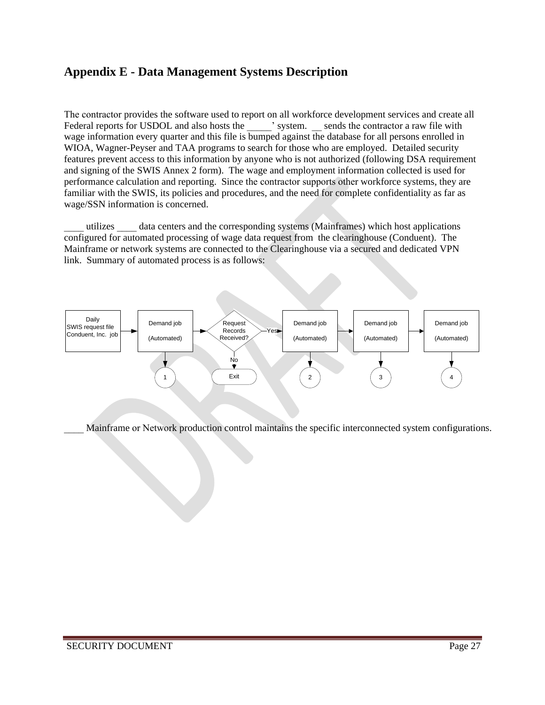## **Appendix E - Data Management Systems Description**

The contractor provides the software used to report on all workforce development services and create all Federal reports for USDOL and also hosts the vertex is system. Let us sends the contractor a raw file with wage information every quarter and this file is bumped against the database for all persons enrolled in WIOA, Wagner-Peyser and TAA programs to search for those who are employed. Detailed security features prevent access to this information by anyone who is not authorized (following DSA requirement and signing of the SWIS Annex 2 form). The wage and employment information collected is used for performance calculation and reporting. Since the contractor supports other workforce systems, they are familiar with the SWIS, its policies and procedures, and the need for complete confidentiality as far as wage/SSN information is concerned.

utilizes data centers and the corresponding systems (Mainframes) which host applications configured for automated processing of wage data request from the clearinghouse (Conduent). The Mainframe or network systems are connected to the Clearinghouse via a secured and dedicated VPN link. Summary of automated process is as follows:



Mainframe or Network production control maintains the specific interconnected system configurations.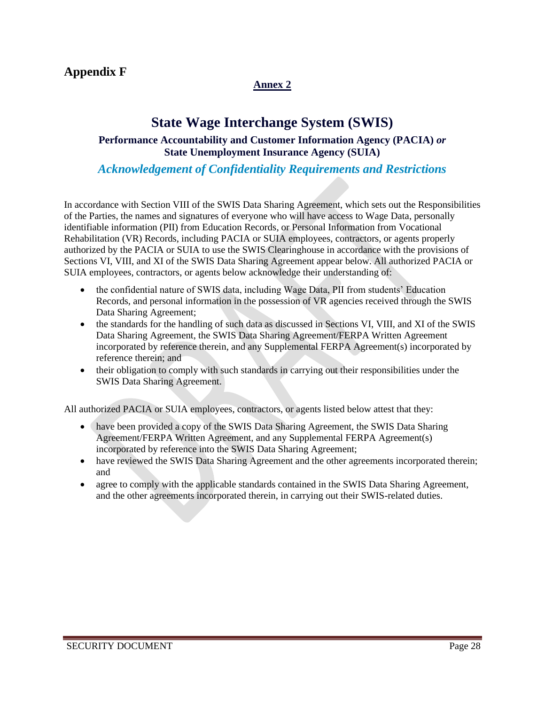## **Appendix F**

## **Annex 2**

# **State Wage Interchange System (SWIS)**

#### **Performance Accountability and Customer Information Agency (PACIA)** *or*  **State Unemployment Insurance Agency (SUIA)**

## *Acknowledgement of Confidentiality Requirements and Restrictions*

In accordance with Section VIII of the SWIS Data Sharing Agreement, which sets out the Responsibilities of the Parties, the names and signatures of everyone who will have access to Wage Data, personally identifiable information (PII) from Education Records, or Personal Information from Vocational Rehabilitation (VR) Records, including PACIA or SUIA employees, contractors, or agents properly authorized by the PACIA or SUIA to use the SWIS Clearinghouse in accordance with the provisions of Sections VI, VIII, and XI of the SWIS Data Sharing Agreement appear below. All authorized PACIA or SUIA employees, contractors, or agents below acknowledge their understanding of:

- the confidential nature of SWIS data, including Wage Data, PII from students' Education Records, and personal information in the possession of VR agencies received through the SWIS Data Sharing Agreement;
- the standards for the handling of such data as discussed in Sections VI, VIII, and XI of the SWIS Data Sharing Agreement, the SWIS Data Sharing Agreement/FERPA Written Agreement incorporated by reference therein, and any Supplemental FERPA Agreement(s) incorporated by reference therein; and
- their obligation to comply with such standards in carrying out their responsibilities under the SWIS Data Sharing Agreement.

All authorized PACIA or SUIA employees, contractors, or agents listed below attest that they:

- have been provided a copy of the SWIS Data Sharing Agreement, the SWIS Data Sharing Agreement/FERPA Written Agreement, and any Supplemental FERPA Agreement(s) incorporated by reference into the SWIS Data Sharing Agreement;
- have reviewed the SWIS Data Sharing Agreement and the other agreements incorporated therein; and
- agree to comply with the applicable standards contained in the SWIS Data Sharing Agreement, and the other agreements incorporated therein, in carrying out their SWIS-related duties.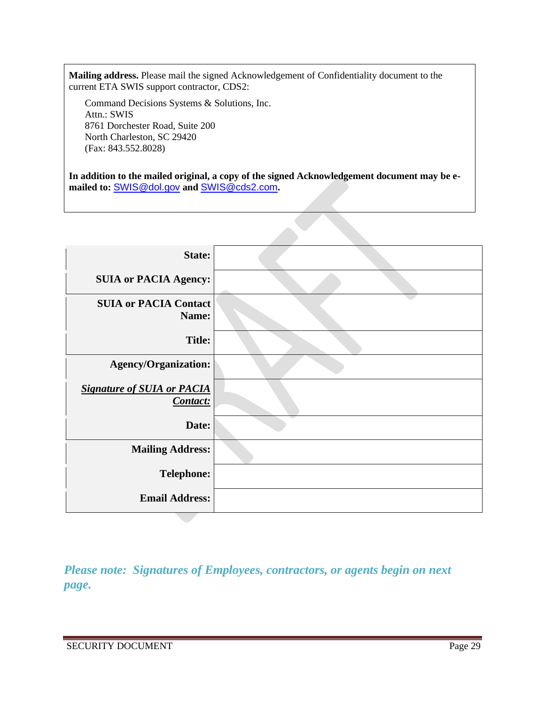**Mailing address.** Please mail the signed Acknowledgement of Confidentiality document to the current ETA SWIS support contractor, CDS2:

Command Decisions Systems & Solutions, Inc. Attn.: SWIS 8761 Dorchester Road, Suite 200 North Charleston, SC 29420 (Fax: 843.552.8028)

**In addition to the mailed original, a copy of the signed Acknowledgement document may be emailed to:** [SWIS@dol.gov](mailto:SWIS@dol.gov) **and** [SWIS@cds2.com](mailto:SWIS@cds2.com)**.**

| State:                                        |  |
|-----------------------------------------------|--|
| <b>SUIA or PACIA Agency:</b>                  |  |
| <b>SUIA or PACIA Contact</b><br>Name:         |  |
| <b>Title:</b>                                 |  |
| <b>Agency/Organization:</b>                   |  |
| <b>Signature of SUIA or PACIA</b><br>Contact: |  |
| Date:                                         |  |
| <b>Mailing Address:</b>                       |  |
| <b>Telephone:</b>                             |  |
| <b>Email Address:</b>                         |  |

*Please note: Signatures of Employees, contractors, or agents begin on next page.*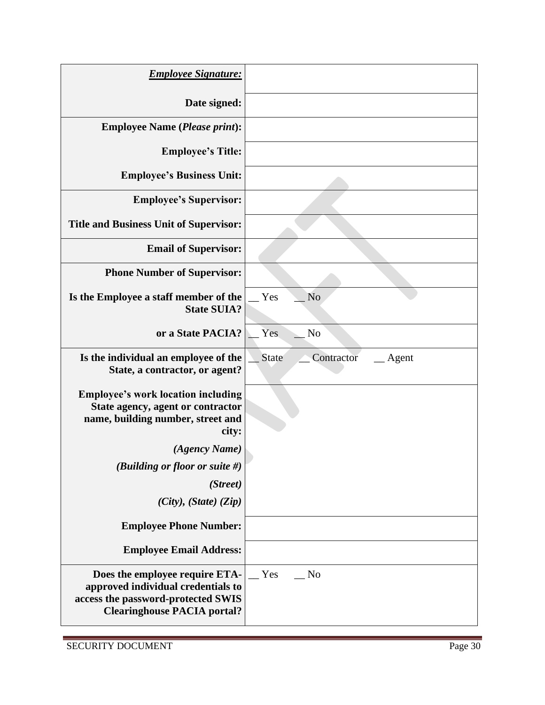| <b>Employee Signature:</b>                                                                                                                       |                                     |
|--------------------------------------------------------------------------------------------------------------------------------------------------|-------------------------------------|
| Date signed:                                                                                                                                     |                                     |
| <b>Employee Name (Please print):</b>                                                                                                             |                                     |
| <b>Employee's Title:</b>                                                                                                                         |                                     |
| <b>Employee's Business Unit:</b>                                                                                                                 |                                     |
| <b>Employee's Supervisor:</b>                                                                                                                    |                                     |
| <b>Title and Business Unit of Supervisor:</b>                                                                                                    |                                     |
| <b>Email of Supervisor:</b>                                                                                                                      |                                     |
| <b>Phone Number of Supervisor:</b>                                                                                                               |                                     |
| Is the Employee a staff member of the<br><b>State SUIA?</b>                                                                                      | Yes<br>N <sub>o</sub>               |
| or a State PACIA?                                                                                                                                | Yes<br>N <sub>o</sub>               |
| Is the individual an employee of the<br>State, a contractor, or agent?                                                                           | <b>State</b><br>Contractor<br>Agent |
| <b>Employee's work location including</b><br>State agency, agent or contractor<br>name, building number, street and<br>city:                     |                                     |
| (Agency Name)                                                                                                                                    |                                     |
| (Building or floor or suite $#$ )                                                                                                                |                                     |
| (Street)                                                                                                                                         |                                     |
| $(City)$ , $(State)$ $(Zip)$                                                                                                                     |                                     |
| <b>Employee Phone Number:</b>                                                                                                                    |                                     |
| <b>Employee Email Address:</b>                                                                                                                   |                                     |
| Does the employee require ETA-<br>approved individual credentials to<br>access the password-protected SWIS<br><b>Clearinghouse PACIA portal?</b> | Yes<br>$\sqrt{N}$                   |